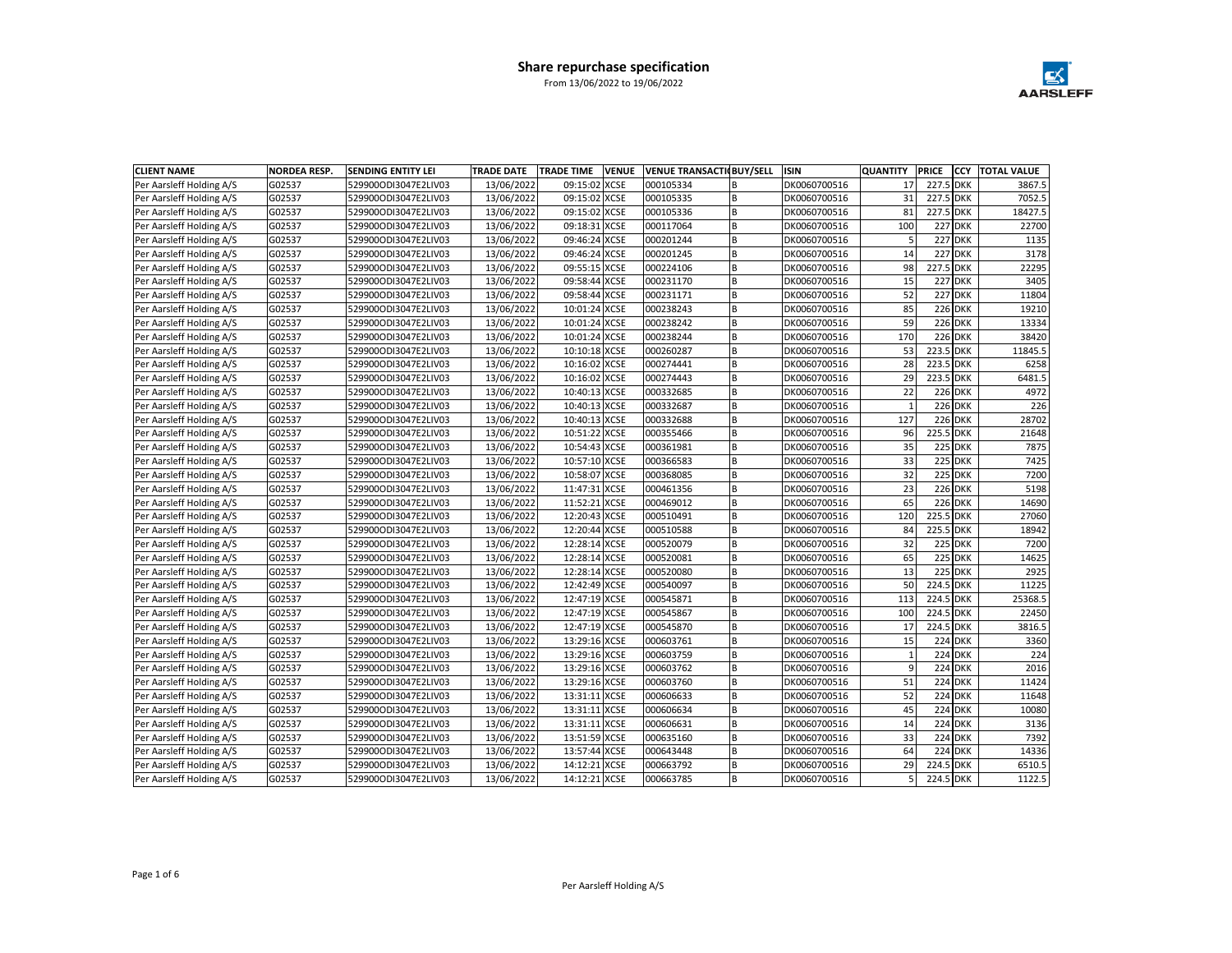

| <b>CLIENT NAME</b>       | <b>NORDEA RESP.</b> | <b>SENDING ENTITY LEI</b> | <b>TRADE DATE</b> | <b>TRADE TIME</b> | <b>VENUE</b> | <b>VENUE TRANSACTIOBUY/SELL</b> |    | <b>ISIN</b>  | <b>QUANTITY</b> | <b>PRICE</b> | <b>CCY</b>     | <b>TOTAL VALUE</b> |
|--------------------------|---------------------|---------------------------|-------------------|-------------------|--------------|---------------------------------|----|--------------|-----------------|--------------|----------------|--------------------|
| Per Aarsleff Holding A/S | G02537              | 529900ODI3047E2LIV03      | 13/06/2022        | 09:15:02 XCSE     |              | 000105334                       |    | DK0060700516 | 17              | 227.5 DKK    |                | 3867.5             |
| Per Aarsleff Holding A/S | G02537              | 529900ODI3047E2LIV03      | 13/06/2022        | 09:15:02 XCSE     |              | 000105335                       | B  | DK0060700516 | 31              | 227.5 DKK    |                | 7052.5             |
| Per Aarsleff Holding A/S | G02537              | 529900ODI3047E2LIV03      | 13/06/2022        | 09:15:02 XCSE     |              | 000105336                       | B  | DK0060700516 | 81              | 227.5 DKK    |                | 18427.5            |
| Per Aarsleff Holding A/S | G02537              | 529900ODI3047E2LIV03      | 13/06/2022        | 09:18:31 XCSE     |              | 000117064                       | R  | DK0060700516 | 100             |              | <b>227 DKK</b> | 22700              |
| Per Aarsleff Holding A/S | G02537              | 529900ODI3047E2LIV03      | 13/06/2022        | 09:46:24 XCSE     |              | 000201244                       | B  | DK0060700516 | 5               | 227          | ' DKK          | 1135               |
| Per Aarsleff Holding A/S | G02537              | 529900ODI3047E2LIV03      | 13/06/2022        | 09:46:24 XCSE     |              | 000201245                       | B  | DK0060700516 | 14              |              | 227 DKK        | 3178               |
| Per Aarsleff Holding A/S | G02537              | 529900ODI3047E2LIV03      | 13/06/2022        | 09:55:15 XCSE     |              | 000224106                       | B  | DK0060700516 | 98              | 227.5 DKK    |                | 22295              |
| Per Aarsleff Holding A/S | G02537              | 529900ODI3047E2LIV03      | 13/06/2022        | 09:58:44 XCSE     |              | 000231170                       | B  | DK0060700516 | 15              |              | <b>227 DKK</b> | 3405               |
| Per Aarsleff Holding A/S | G02537              | 529900ODI3047E2LIV03      | 13/06/2022        | 09:58:44 XCSE     |              | 000231171                       | B  | DK0060700516 | 52              |              | <b>227 DKK</b> | 11804              |
| Per Aarsleff Holding A/S | G02537              | 529900ODI3047E2LIV03      | 13/06/2022        | 10:01:24 XCSE     |              | 000238243                       | R  | DK0060700516 | 85              |              | <b>226 DKK</b> | 19210              |
| Per Aarsleff Holding A/S | G02537              | 529900ODI3047E2LIV03      | 13/06/2022        | 10:01:24 XCSE     |              | 000238242                       | B  | DK0060700516 | 59              |              | <b>226 DKK</b> | 13334              |
| Per Aarsleff Holding A/S | G02537              | 529900ODI3047E2LIV03      | 13/06/2022        | 10:01:24 XCSE     |              | 000238244                       | B  | DK0060700516 | 170             |              | <b>226 DKK</b> | 38420              |
| Per Aarsleff Holding A/S | G02537              | 529900ODI3047E2LIV03      | 13/06/2022        | 10:10:18 XCSE     |              | 000260287                       | B  | DK0060700516 | 53              | 223.5 DKK    |                | 11845.5            |
| Per Aarsleff Holding A/S | G02537              | 529900ODI3047E2LIV03      | 13/06/2022        | 10:16:02 XCSE     |              | 000274441                       | B  | DK0060700516 | 28              | 223.5 DKK    |                | 6258               |
| Per Aarsleff Holding A/S | G02537              | 529900ODI3047E2LIV03      | 13/06/2022        | 10:16:02 XCSE     |              | 000274443                       | B  | DK0060700516 | 29              | 223.5 DKK    |                | 6481.5             |
| Per Aarsleff Holding A/S | G02537              | 529900ODI3047E2LIV03      | 13/06/2022        | 10:40:13 XCSE     |              | 000332685                       | B  | DK0060700516 | 22              |              | <b>226 DKK</b> | 4972               |
| Per Aarsleff Holding A/S | G02537              | 529900ODI3047E2LIV03      | 13/06/2022        | 10:40:13 XCSE     |              | 000332687                       | B  | DK0060700516 | $\overline{1}$  |              | <b>226 DKK</b> | 226                |
| Per Aarsleff Holding A/S | G02537              | 529900ODI3047E2LIV03      | 13/06/2022        | 10:40:13 XCSE     |              | 000332688                       | B  | DK0060700516 | 127             |              | <b>226 DKK</b> | 28702              |
| Per Aarsleff Holding A/S | G02537              | 529900ODI3047E2LIV03      | 13/06/2022        | 10:51:22 XCSE     |              | 000355466                       | B  | DK0060700516 | 96              | 225.5 DKK    |                | 21648              |
| Per Aarsleff Holding A/S | G02537              | 529900ODI3047E2LIV03      | 13/06/2022        | 10:54:43 XCSE     |              | 000361981                       | B  | DK0060700516 | 35              |              | <b>225 DKK</b> | 7875               |
| Per Aarsleff Holding A/S | G02537              | 529900ODI3047E2LIV03      | 13/06/2022        | 10:57:10 XCSE     |              | 000366583                       | B  | DK0060700516 | 33              |              | <b>225 DKK</b> | 7425               |
| Per Aarsleff Holding A/S | G02537              | 529900ODI3047E2LIV03      | 13/06/2022        | 10:58:07 XCSE     |              | 000368085                       | B  | DK0060700516 | 32              |              | <b>225 DKK</b> | 7200               |
| Per Aarsleff Holding A/S | G02537              | 529900ODI3047E2LIV03      | 13/06/2022        | 11:47:31 XCSE     |              | 000461356                       | B  | DK0060700516 | 23              |              | <b>226 DKK</b> | 5198               |
| Per Aarsleff Holding A/S | G02537              | 529900ODI3047E2LIV03      | 13/06/2022        | 11:52:21 XCSE     |              | 000469012                       | B  | DK0060700516 | 65              |              | <b>226 DKK</b> | 14690              |
| Per Aarsleff Holding A/S | G02537              | 529900ODI3047E2LIV03      | 13/06/2022        | 12:20:43 XCSE     |              | 000510491                       | B  | DK0060700516 | 120             | 225.5 DKK    |                | 27060              |
| Per Aarsleff Holding A/S | G02537              | 529900ODI3047E2LIV03      | 13/06/2022        | 12:20:44 XCSE     |              | 000510588                       | B  | DK0060700516 | 84              | 225.5 DKK    |                | 18942              |
| Per Aarsleff Holding A/S | G02537              | 529900ODI3047E2LIV03      | 13/06/2022        | 12:28:14 XCSE     |              | 000520079                       | B  | DK0060700516 | 32              |              | <b>225 DKK</b> | 7200               |
| Per Aarsleff Holding A/S | G02537              | 529900ODI3047E2LIV03      | 13/06/2022        | 12:28:14 XCSE     |              | 000520081                       | B  | DK0060700516 | 65              |              | 225 DKK        | 14625              |
| Per Aarsleff Holding A/S | G02537              | 529900ODI3047E2LIV03      | 13/06/2022        | 12:28:14 XCSE     |              | 000520080                       | B  | DK0060700516 | 13              |              | <b>225 DKK</b> | 2925               |
| Per Aarsleff Holding A/S | G02537              | 529900ODI3047E2LIV03      | 13/06/2022        | 12:42:49 XCSE     |              | 000540097                       | B  | DK0060700516 | 50              | 224.5 DKK    |                | 11225              |
| Per Aarsleff Holding A/S | G02537              | 529900ODI3047E2LIV03      | 13/06/2022        | 12:47:19 XCSE     |              | 000545871                       | B  | DK0060700516 | 113             | 224.5 DKK    |                | 25368.5            |
| Per Aarsleff Holding A/S | G02537              | 529900ODI3047E2LIV03      | 13/06/2022        | 12:47:19 XCSE     |              | 000545867                       | B  | DK0060700516 | 100             | 224.5 DKK    |                | 22450              |
| Per Aarsleff Holding A/S | G02537              | 529900ODI3047E2LIV03      | 13/06/2022        | 12:47:19 XCSE     |              | 000545870                       | B  | DK0060700516 | 17              | 224.5 DKK    |                | 3816.5             |
| Per Aarsleff Holding A/S | G02537              | 529900ODI3047E2LIV03      | 13/06/2022        | 13:29:16 XCSE     |              | 000603761                       | B  | DK0060700516 | 15              |              | <b>224 DKK</b> | 3360               |
| Per Aarsleff Holding A/S | G02537              | 529900ODI3047E2LIV03      | 13/06/2022        | 13:29:16 XCSE     |              | 000603759                       | B  | DK0060700516 | $\mathbf{1}$    |              | <b>224 DKK</b> | 224                |
| Per Aarsleff Holding A/S | G02537              | 529900ODI3047E2LIV03      | 13/06/2022        | 13:29:16 XCSE     |              | 000603762                       | B  | DK0060700516 | q               |              | <b>224 DKK</b> | 2016               |
| Per Aarsleff Holding A/S | G02537              | 529900ODI3047E2LIV03      | 13/06/2022        | 13:29:16 XCSE     |              | 000603760                       | B  | DK0060700516 | 51              |              | <b>224 DKK</b> | 11424              |
| Per Aarsleff Holding A/S | G02537              | 529900ODI3047E2LIV03      | 13/06/2022        | 13:31:11 XCSE     |              | 000606633                       | B  | DK0060700516 | 52              |              | <b>224 DKK</b> | 11648              |
| Per Aarsleff Holding A/S | G02537              | 529900ODI3047E2LIV03      | 13/06/2022        | 13:31:11 XCSE     |              | 000606634                       | R  | DK0060700516 | 45              |              | 224 DKK        | 10080              |
| Per Aarsleff Holding A/S | G02537              | 529900ODI3047E2LIV03      | 13/06/2022        | 13:31:11 XCSE     |              | 000606631                       | B  | DK0060700516 | 14              |              | <b>224 DKK</b> | 3136               |
| Per Aarsleff Holding A/S | G02537              | 529900ODI3047E2LIV03      | 13/06/2022        | 13:51:59 XCSE     |              | 000635160                       | B  | DK0060700516 | 33              |              | <b>224 DKK</b> | 7392               |
| Per Aarsleff Holding A/S | G02537              | 529900ODI3047E2LIV03      | 13/06/2022        | 13:57:44 XCSE     |              | 000643448                       | B  | DK0060700516 | 64              |              | <b>224 DKK</b> | 14336              |
| Per Aarsleff Holding A/S | G02537              | 529900ODI3047E2LIV03      | 13/06/2022        | 14:12:21 XCSE     |              | 000663792                       | B  | DK0060700516 | 29              | 224.5 DKK    |                | 6510.5             |
| Per Aarsleff Holding A/S | G02537              | 529900ODI3047E2LIV03      | 13/06/2022        | 14:12:21 XCSE     |              | 000663785                       | lв | DK0060700516 | 5 <sup>1</sup>  | 224.5 DKK    |                | 1122.5             |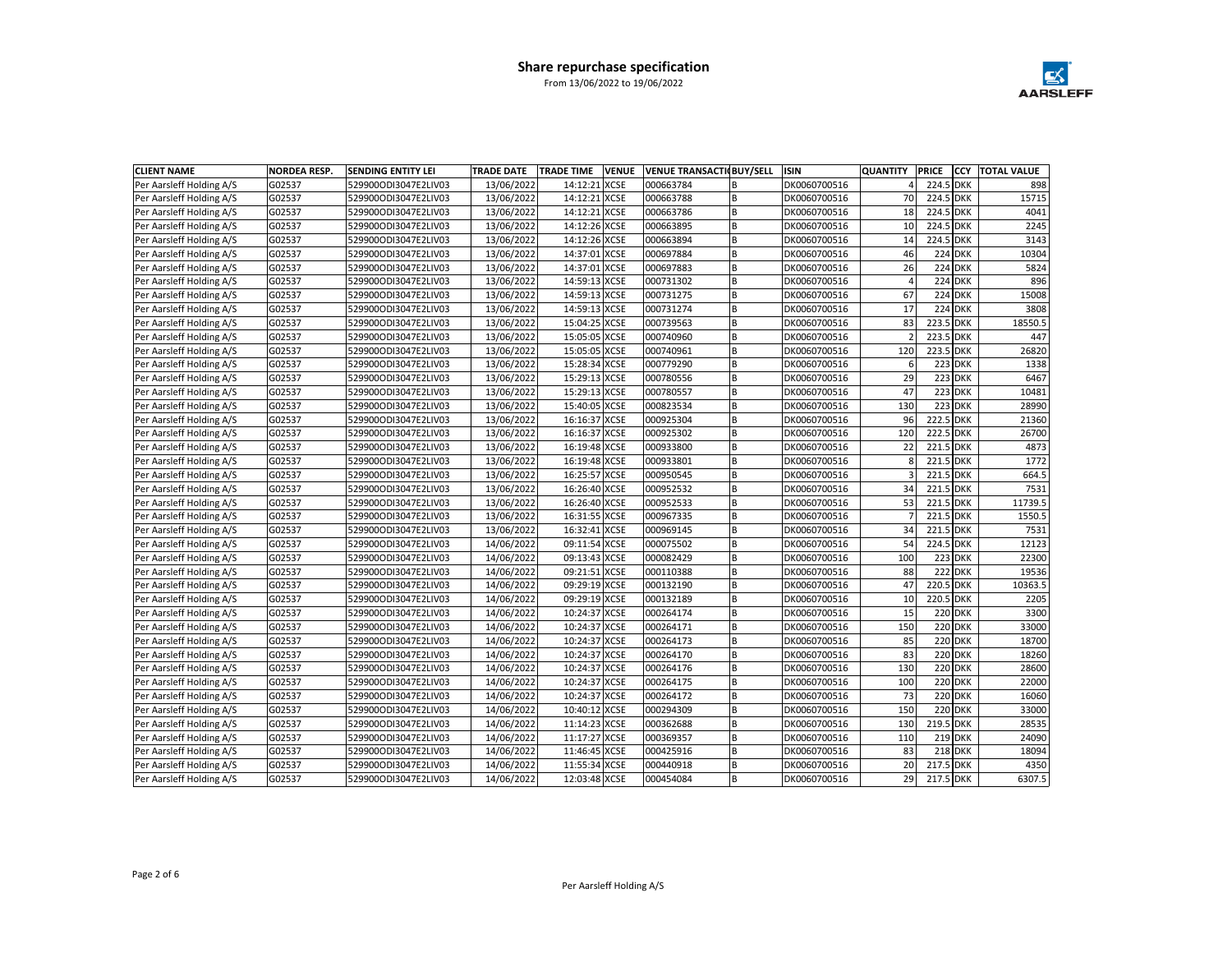

| <b>CLIENT NAME</b>       | <b>NORDEA RESP.</b> | <b>SENDING ENTITY LEI</b> | <b>TRADE DATE</b> | <b>TRADE TIME</b> | <b>VENUE</b> | <b>VENUE TRANSACTIOBUY/SELL</b> |    | <b>ISIN</b>  | <b>QUANTITY</b>         | <b>PRICE</b> | <b>CCY</b>     | <b>TOTAL VALUE</b> |
|--------------------------|---------------------|---------------------------|-------------------|-------------------|--------------|---------------------------------|----|--------------|-------------------------|--------------|----------------|--------------------|
| Per Aarsleff Holding A/S | G02537              | 529900ODI3047E2LIV03      | 13/06/2022        | 14:12:21 XCSE     |              | 000663784                       |    | DK0060700516 | $\Delta$                | 224.5 DKK    |                | 898                |
| Per Aarsleff Holding A/S | G02537              | 529900ODI3047E2LIV03      | 13/06/2022        | 14:12:21 XCSE     |              | 000663788                       | B  | DK0060700516 | 70                      | 224.5 DKK    |                | 15715              |
| Per Aarsleff Holding A/S | G02537              | 529900ODI3047E2LIV03      | 13/06/2022        | 14:12:21 XCSE     |              | 000663786                       | B  | DK0060700516 | 18                      | 224.5 DKK    |                | 4041               |
| Per Aarsleff Holding A/S | G02537              | 529900ODI3047E2LIV03      | 13/06/2022        | 14:12:26 XCSE     |              | 000663895                       | R  | DK0060700516 | 10                      | 224.5 DKK    |                | 2245               |
| Per Aarsleff Holding A/S | G02537              | 529900ODI3047E2LIV03      | 13/06/2022        | 14:12:26 XCSE     |              | 000663894                       | B  | DK0060700516 | 14                      | 224.5 DKK    |                | 3143               |
| Per Aarsleff Holding A/S | G02537              | 529900ODI3047E2LIV03      | 13/06/2022        | 14:37:01 XCSE     |              | 000697884                       | B  | DK0060700516 | 46                      |              | <b>224 DKK</b> | 10304              |
| Per Aarsleff Holding A/S | G02537              | 529900ODI3047E2LIV03      | 13/06/2022        | 14:37:01 XCSE     |              | 000697883                       | B  | DK0060700516 | 26                      |              | 224 DKK        | 5824               |
| Per Aarsleff Holding A/S | G02537              | 529900ODI3047E2LIV03      | 13/06/2022        | 14:59:13 XCSE     |              | 000731302                       | B  | DK0060700516 | $\overline{a}$          |              | <b>224 DKK</b> | 896                |
| Per Aarsleff Holding A/S | G02537              | 529900ODI3047E2LIV03      | 13/06/2022        | 14:59:13 XCSE     |              | 000731275                       | B  | DK0060700516 | 67                      |              | <b>224 DKK</b> | 15008              |
| Per Aarsleff Holding A/S | G02537              | 529900ODI3047E2LIV03      | 13/06/2022        | 14:59:13 XCSE     |              | 000731274                       | R  | DK0060700516 | 17                      |              | 224 DKK        | 3808               |
| Per Aarsleff Holding A/S | G02537              | 529900ODI3047E2LIV03      | 13/06/2022        | 15:04:25 XCSE     |              | 000739563                       | B  | DK0060700516 | 83                      | 223.5 DKK    |                | 18550.5            |
| Per Aarsleff Holding A/S | G02537              | 529900ODI3047E2LIV03      | 13/06/2022        | 15:05:05 XCSE     |              | 000740960                       | B  | DK0060700516 | $\overline{2}$          | 223.5 DKK    |                | 447                |
| Per Aarsleff Holding A/S | G02537              | 529900ODI3047E2LIV03      | 13/06/2022        | 15:05:05 XCSE     |              | 000740961                       | B  | DK0060700516 | 120                     | 223.5 DKK    |                | 26820              |
| Per Aarsleff Holding A/S | G02537              | 529900ODI3047E2LIV03      | 13/06/2022        | 15:28:34 XCSE     |              | 000779290                       | B  | DK0060700516 | 6                       |              | 223 DKK        | 1338               |
| Per Aarsleff Holding A/S | G02537              | 529900ODI3047E2LIV03      | 13/06/2022        | 15:29:13 XCSE     |              | 000780556                       | B  | DK0060700516 | 29                      |              | <b>223 DKK</b> | 6467               |
| Per Aarsleff Holding A/S | G02537              | 529900ODI3047E2LIV03      | 13/06/2022        | 15:29:13 XCSE     |              | 000780557                       | B  | DK0060700516 | 47                      |              | <b>223 DKK</b> | 10481              |
| Per Aarsleff Holding A/S | G02537              | 529900ODI3047E2LIV03      | 13/06/2022        | 15:40:05 XCSE     |              | 000823534                       | B  | DK0060700516 | 130                     |              | <b>223 DKK</b> | 28990              |
| Per Aarsleff Holding A/S | G02537              | 529900ODI3047E2LIV03      | 13/06/2022        | 16:16:37 XCSE     |              | 000925304                       | В  | DK0060700516 | 96                      | 222.5 DKK    |                | 21360              |
| Per Aarsleff Holding A/S | G02537              | 529900ODI3047E2LIV03      | 13/06/2022        | 16:16:37 XCSE     |              | 000925302                       | B  | DK0060700516 | 120                     | 222.5        | <b>DKK</b>     | 26700              |
| Per Aarsleff Holding A/S | G02537              | 529900ODI3047E2LIV03      | 13/06/2022        | 16:19:48 XCSE     |              | 000933800                       | B  | DK0060700516 | 22                      | 221.5        | <b>DKK</b>     | 4873               |
| Per Aarsleff Holding A/S | G02537              | 529900ODI3047E2LIV03      | 13/06/2022        | 16:19:48 XCSE     |              | 000933801                       | B  | DK0060700516 | 8                       | 221.5 DKK    |                | 1772               |
| Per Aarsleff Holding A/S | G02537              | 529900ODI3047E2LIV03      | 13/06/2022        | 16:25:57 XCSE     |              | 000950545                       | B  | DK0060700516 | $\overline{\mathbf{3}}$ | 221.5        | <b>DKK</b>     | 664.5              |
| Per Aarsleff Holding A/S | G02537              | 529900ODI3047E2LIV03      | 13/06/2022        | 16:26:40 XCSE     |              | 000952532                       | B  | DK0060700516 | 34                      | 221.5 DKK    |                | 7531               |
| Per Aarsleff Holding A/S | G02537              | 529900ODI3047E2LIV03      | 13/06/2022        | 16:26:40 XCSE     |              | 000952533                       | B  | DK0060700516 | 53                      | 221.5 DKK    |                | 11739.5            |
| Per Aarsleff Holding A/S | G02537              | 529900ODI3047E2LIV03      | 13/06/2022        | 16:31:55 XCSE     |              | 000967335                       | B  | DK0060700516 | $\overline{7}$          | 221.5 DKK    |                | 1550.5             |
| Per Aarsleff Holding A/S | G02537              | 529900ODI3047E2LIV03      | 13/06/2022        | 16:32:41 XCSE     |              | 000969145                       | B  | DK0060700516 | 34                      | 221.5 DKK    |                | 7531               |
| Per Aarsleff Holding A/S | G02537              | 529900ODI3047E2LIV03      | 14/06/2022        | 09:11:54 XCSE     |              | 000075502                       | B  | DK0060700516 | 54                      | 224.5 DKK    |                | 12123              |
| Per Aarsleff Holding A/S | G02537              | 529900ODI3047E2LIV03      | 14/06/2022        | 09:13:43 XCSE     |              | 000082429                       | B  | DK0060700516 | 100                     |              | 223 DKK        | 22300              |
| Per Aarsleff Holding A/S | G02537              | 529900ODI3047E2LIV03      | 14/06/2022        | 09:21:51 XCSE     |              | 000110388                       | B  | DK0060700516 | 88                      | 222          | <b>DKK</b>     | 19536              |
| Per Aarsleff Holding A/S | G02537              | 529900ODI3047E2LIV03      | 14/06/2022        | 09:29:19 XCSE     |              | 000132190                       | B  | DK0060700516 | 47                      | 220.5 DKK    |                | 10363.5            |
| Per Aarsleff Holding A/S | G02537              | 529900ODI3047E2LIV03      | 14/06/2022        | 09:29:19 XCSE     |              | 000132189                       | B  | DK0060700516 | 10                      | 220.5 DKK    |                | 2205               |
| Per Aarsleff Holding A/S | G02537              | 529900ODI3047E2LIV03      | 14/06/2022        | 10:24:37 XCSE     |              | 000264174                       | B  | DK0060700516 | 15                      |              | <b>220 DKK</b> | 3300               |
| Per Aarsleff Holding A/S | G02537              | 529900ODI3047E2LIV03      | 14/06/2022        | 10:24:37 XCSE     |              | 000264171                       | B  | DK0060700516 | 150                     |              | <b>220 DKK</b> | 33000              |
| Per Aarsleff Holding A/S | G02537              | 529900ODI3047E2LIV03      | 14/06/2022        | 10:24:37 XCSE     |              | 000264173                       | B  | DK0060700516 | 85                      |              | <b>220 DKK</b> | 18700              |
| Per Aarsleff Holding A/S | G02537              | 529900ODI3047E2LIV03      | 14/06/2022        | 10:24:37 XCSE     |              | 000264170                       | B  | DK0060700516 | 83                      |              | <b>220 DKK</b> | 18260              |
| Per Aarsleff Holding A/S | G02537              | 529900ODI3047E2LIV03      | 14/06/2022        | 10:24:37 XCSE     |              | 000264176                       | B  | DK0060700516 | 130                     |              | <b>220 DKK</b> | 28600              |
| Per Aarsleff Holding A/S | G02537              | 529900ODI3047E2LIV03      | 14/06/2022        | 10:24:37 XCSE     |              | 000264175                       | B  | DK0060700516 | 100                     |              | <b>220 DKK</b> | 22000              |
| Per Aarsleff Holding A/S | G02537              | 529900ODI3047E2LIV03      | 14/06/2022        | 10:24:37 XCSE     |              | 000264172                       | B  | DK0060700516 | 73                      |              | 220 DKK        | 16060              |
| Per Aarsleff Holding A/S | G02537              | 529900ODI3047E2LIV03      | 14/06/2022        | 10:40:12 XCSE     |              | 000294309                       | R  | DK0060700516 | 150                     |              | 220 DKK        | 33000              |
| Per Aarsleff Holding A/S | G02537              | 529900ODI3047E2LIV03      | 14/06/2022        | 11:14:23 XCSE     |              | 000362688                       | B  | DK0060700516 | 130                     | 219.5 DKK    |                | 28535              |
| Per Aarsleff Holding A/S | G02537              | 529900ODI3047E2LIV03      | 14/06/2022        | 11:17:27 XCSE     |              | 000369357                       | B  | DK0060700516 | 110                     |              | <b>219 DKK</b> | 24090              |
| Per Aarsleff Holding A/S | G02537              | 529900ODI3047E2LIV03      | 14/06/2022        | 11:46:45 XCSE     |              | 000425916                       | B  | DK0060700516 | 83                      |              | <b>218 DKK</b> | 18094              |
| Per Aarsleff Holding A/S | G02537              | 529900ODI3047E2LIV03      | 14/06/2022        | 11:55:34 XCSE     |              | 000440918                       | B  | DK0060700516 | 20                      | 217.5 DKK    |                | 4350               |
| Per Aarsleff Holding A/S | G02537              | 529900ODI3047E2LIV03      | 14/06/2022        | 12:03:48 XCSE     |              | 000454084                       | lв | DK0060700516 | 29                      | 217.5 DKK    |                | 6307.5             |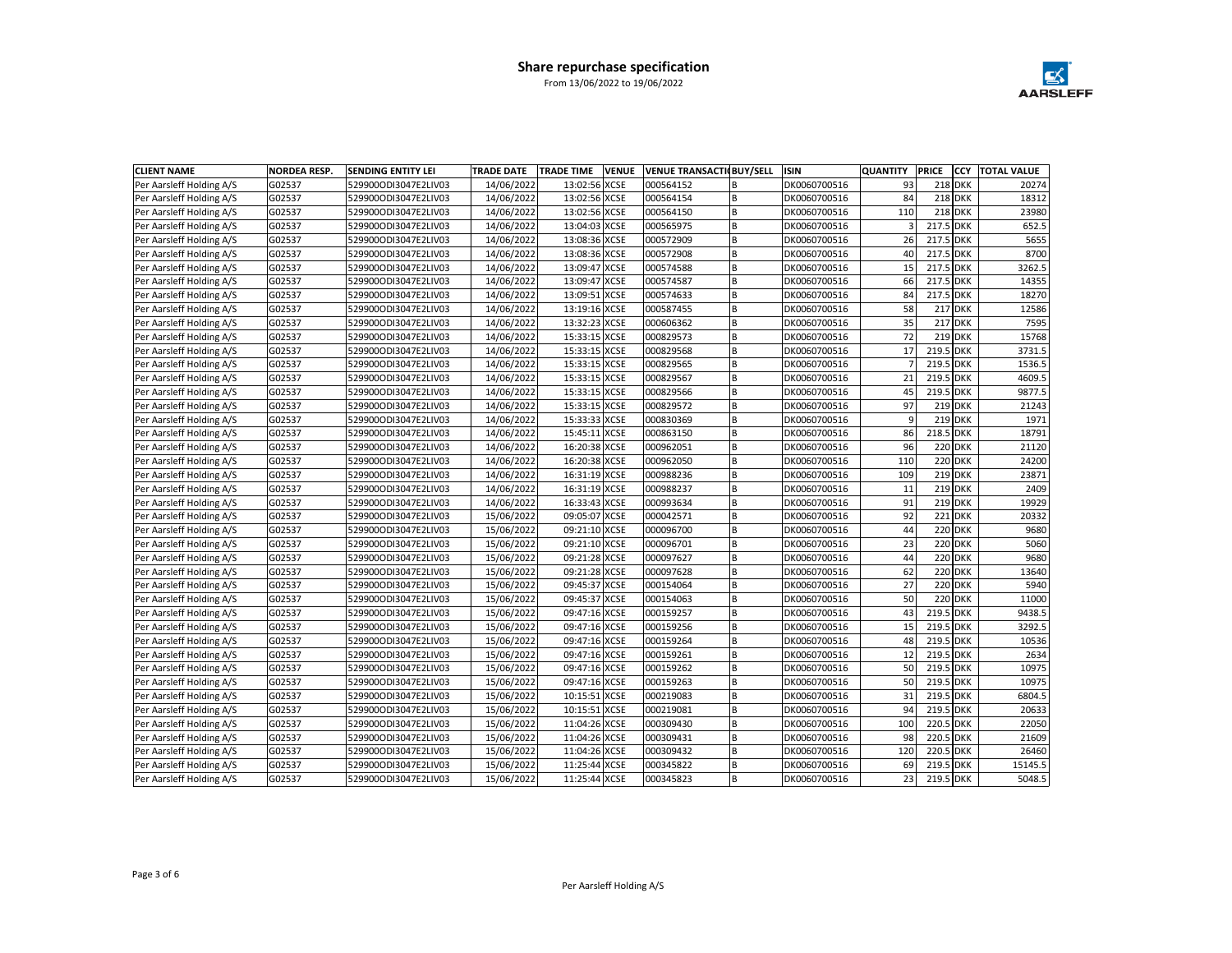

| <b>CLIENT NAME</b>       | <b>NORDEA RESP.</b> | <b>SENDING ENTITY LEI</b> | <b>TRADE DATE</b> | <b>TRADE TIME</b> | <b>VENUE</b> | <b>VENUE TRANSACTIOBUY/SELL</b> |    | <b>ISIN</b>  | <b>QUANTITY</b> | <b>PRICE</b> | <b>CCY</b>     | <b>TOTAL VALUE</b> |
|--------------------------|---------------------|---------------------------|-------------------|-------------------|--------------|---------------------------------|----|--------------|-----------------|--------------|----------------|--------------------|
| Per Aarsleff Holding A/S | G02537              | 529900ODI3047E2LIV03      | 14/06/2022        | 13:02:56 XCSE     |              | 000564152                       | B  | DK0060700516 | 93              |              | <b>218 DKK</b> | 20274              |
| Per Aarsleff Holding A/S | G02537              | 529900ODI3047E2LIV03      | 14/06/2022        | 13:02:56 XCSE     |              | 000564154                       | B  | DK0060700516 | 84              |              | <b>218 DKK</b> | 18312              |
| Per Aarsleff Holding A/S | G02537              | 529900ODI3047E2LIV03      | 14/06/2022        | 13:02:56 XCSE     |              | 000564150                       | В  | DK0060700516 | 110             |              | <b>218 DKK</b> | 23980              |
| Per Aarsleff Holding A/S | G02537              | 529900ODI3047E2LIV03      | 14/06/2022        | 13:04:03 XCSE     |              | 000565975                       | B  | DK0060700516 | $\overline{3}$  | 217.5 DKK    |                | 652.5              |
| Per Aarsleff Holding A/S | G02537              | 529900ODI3047E2LIV03      | 14/06/2022        | 13:08:36 XCSE     |              | 000572909                       | B  | DK0060700516 | 26              | 217.5 DKK    |                | 5655               |
| Per Aarsleff Holding A/S | G02537              | 529900ODI3047E2LIV03      | 14/06/2022        | 13:08:36 XCSE     |              | 000572908                       | B  | DK0060700516 | 40              | 217.5 DKK    |                | 8700               |
| Per Aarsleff Holding A/S | G02537              | 529900ODI3047E2LIV03      | 14/06/2022        | 13:09:47 XCSE     |              | 000574588                       | B  | DK0060700516 | $\overline{15}$ | 217.5 DKK    |                | 3262.5             |
| Per Aarsleff Holding A/S | G02537              | 529900ODI3047E2LIV03      | 14/06/2022        | 13:09:47 XCSE     |              | 000574587                       | B  | DK0060700516 | 66              | 217.5        | <b>DKK</b>     | 14355              |
| Per Aarsleff Holding A/S | G02537              | 529900ODI3047E2LIV03      | 14/06/2022        | 13:09:51 XCSE     |              | 000574633                       | B  | DK0060700516 | 84              | 217.5 DKK    |                | 18270              |
| Per Aarsleff Holding A/S | G02537              | 529900ODI3047E2LIV03      | 14/06/2022        | 13:19:16 XCSE     |              | 000587455                       | R  | DK0060700516 | 58              |              | <b>217 DKK</b> | 12586              |
| Per Aarsleff Holding A/S | G02537              | 529900ODI3047E2LIV03      | 14/06/2022        | 13:32:23 XCSE     |              | 000606362                       | B  | DK0060700516 | 35              |              | <b>217 DKK</b> | 7595               |
| Per Aarsleff Holding A/S | G02537              | 529900ODI3047E2LIV03      | 14/06/2022        | 15:33:15 XCSE     |              | 000829573                       | В  | DK0060700516 | 72              |              | <b>219 DKK</b> | 15768              |
| Per Aarsleff Holding A/S | G02537              | 529900ODI3047E2LIV03      | 14/06/2022        | 15:33:15 XCSE     |              | 000829568                       | R  | DK0060700516 | 17              | 219.5 DKK    |                | 3731.5             |
| Per Aarsleff Holding A/S | G02537              | 529900ODI3047E2LIV03      | 14/06/2022        | 15:33:15 XCSE     |              | 000829565                       | R  | DK0060700516 |                 | 219.5 DKK    |                | 1536.5             |
| Per Aarsleff Holding A/S | G02537              | 529900ODI3047E2LIV03      | 14/06/2022        | 15:33:15 XCSE     |              | 000829567                       | B  | DK0060700516 | 21              | 219.5 DKK    |                | 4609.5             |
| Per Aarsleff Holding A/S | G02537              | 529900ODI3047E2LIV03      | 14/06/2022        | 15:33:15 XCSE     |              | 000829566                       | B  | DK0060700516 | 45              | 219.5 DKK    |                | 9877.5             |
| Per Aarsleff Holding A/S | G02537              | 529900ODI3047E2LIV03      | 14/06/2022        | 15:33:15 XCSE     |              | 000829572                       | B  | DK0060700516 | 97              |              | 219 DKK        | 21243              |
| Per Aarsleff Holding A/S | G02537              | 529900ODI3047E2LIV03      | 14/06/2022        | 15:33:33 XCSE     |              | 000830369                       | B  | DK0060700516 | 9               |              | <b>219 DKK</b> | 1971               |
| Per Aarsleff Holding A/S | G02537              | 529900ODI3047E2LIV03      | 14/06/2022        | 15:45:11 XCSE     |              | 000863150                       | B  | DK0060700516 | 86              | 218.5        | <b>DKK</b>     | 18791              |
| Per Aarsleff Holding A/S | G02537              | 529900ODI3047E2LIV03      | 14/06/2022        | 16:20:38 XCSE     |              | 000962051                       | B  | DK0060700516 | 96              |              | <b>220 DKK</b> | 21120              |
| Per Aarsleff Holding A/S | G02537              | 529900ODI3047E2LIV03      | 14/06/2022        | 16:20:38 XCSE     |              | 000962050                       | B  | DK0060700516 | 110             |              | <b>220 DKK</b> | 24200              |
| Per Aarsleff Holding A/S | G02537              | 529900ODI3047E2LIV03      | 14/06/2022        | 16:31:19 XCSE     |              | 000988236                       | B  | DK0060700516 | 109             |              | <b>219 DKK</b> | 23871              |
| Per Aarsleff Holding A/S | G02537              | 529900ODI3047E2LIV03      | 14/06/2022        | 16:31:19 XCSE     |              | 000988237                       | B  | DK0060700516 | 11              |              | <b>219 DKK</b> | 2409               |
| Per Aarsleff Holding A/S | G02537              | 529900ODI3047E2LIV03      | 14/06/2022        | 16:33:43 XCSE     |              | 000993634                       | B  | DK0060700516 | 91              |              | <b>219 DKK</b> | 19929              |
| Per Aarsleff Holding A/S | G02537              | 529900ODI3047E2LIV03      | 15/06/2022        | 09:05:07 XCSE     |              | 000042571                       | B  | DK0060700516 | 92              |              | 221 DKK        | 20332              |
| Per Aarsleff Holding A/S | G02537              | 529900ODI3047E2LIV03      | 15/06/2022        | 09:21:10 XCSE     |              | 000096700                       | B  | DK0060700516 | 44              |              | <b>220 DKK</b> | 9680               |
| Per Aarsleff Holding A/S | G02537              | 529900ODI3047E2LIV03      | 15/06/2022        | 09:21:10 XCSE     |              | 000096701                       | B  | DK0060700516 | 23              |              | <b>220 DKK</b> | 5060               |
| Per Aarsleff Holding A/S | G02537              | 529900ODI3047E2LIV03      | 15/06/2022        | 09:21:28 XCSE     |              | 000097627                       | B  | DK0060700516 | 44              |              | <b>220 DKK</b> | 9680               |
| Per Aarsleff Holding A/S | G02537              | 529900ODI3047E2LIV03      | 15/06/2022        | 09:21:28 XCSE     |              | 000097628                       | B  | DK0060700516 | 62              |              | <b>220 DKK</b> | 13640              |
| Per Aarsleff Holding A/S | G02537              | 529900ODI3047E2LIV03      | 15/06/2022        | 09:45:37 XCSE     |              | 000154064                       | B  | DK0060700516 | 27              |              | <b>220 DKK</b> | 5940               |
| Per Aarsleff Holding A/S | G02537              | 529900ODI3047E2LIV03      | 15/06/2022        | 09:45:37 XCSE     |              | 000154063                       | B  | DK0060700516 | 50              |              | <b>220 DKK</b> | 11000              |
| Per Aarsleff Holding A/S | G02537              | 529900ODI3047E2LIV03      | 15/06/2022        | 09:47:16 XCSE     |              | 000159257                       | B  | DK0060700516 | 43              | 219.5        | <b>DKK</b>     | 9438.5             |
| Per Aarsleff Holding A/S | G02537              | 529900ODI3047E2LIV03      | 15/06/2022        | 09:47:16 XCSE     |              | 000159256                       | B  | DK0060700516 | 15              | 219.5 DKK    |                | 3292.5             |
| Per Aarsleff Holding A/S | G02537              | 529900ODI3047E2LIV03      | 15/06/2022        | 09:47:16 XCSE     |              | 000159264                       | B  | DK0060700516 | 48              | 219.5 DKK    |                | 10536              |
| Per Aarsleff Holding A/S | G02537              | 529900ODI3047E2LIV03      | 15/06/2022        | 09:47:16 XCSE     |              | 000159261                       | B  | DK0060700516 | 12              | 219.5 DKK    |                | 2634               |
| Per Aarsleff Holding A/S | G02537              | 529900ODI3047E2LIV03      | 15/06/2022        | 09:47:16 XCSE     |              | 000159262                       | B  | DK0060700516 | 50              | 219.5 DKK    |                | 10975              |
| Per Aarsleff Holding A/S | G02537              | 529900ODI3047E2LIV03      | 15/06/2022        | 09:47:16 XCSE     |              | 000159263                       | B  | DK0060700516 | 50              | 219.5 DKK    |                | 10975              |
| Per Aarsleff Holding A/S | G02537              | 529900ODI3047E2LIV03      | 15/06/2022        | 10:15:51 XCSE     |              | 000219083                       | B  | DK0060700516 | 31              | 219.5 DKK    |                | 6804.5             |
| Per Aarsleff Holding A/S | G02537              | 529900ODI3047E2LIV03      | 15/06/2022        | 10:15:51 XCSE     |              | 000219081                       | B  | DK0060700516 | 94              | 219.5 DKK    |                | 20633              |
| Per Aarsleff Holding A/S | G02537              | 529900ODI3047E2LIV03      | 15/06/2022        | 11:04:26 XCSE     |              | 000309430                       | B  | DK0060700516 | 100             | 220.5 DKK    |                | 22050              |
| Per Aarsleff Holding A/S | G02537              | 529900ODI3047E2LIV03      | 15/06/2022        | 11:04:26 XCSE     |              | 000309431                       | B  | DK0060700516 | 98              | 220.5        | <b>DKK</b>     | 21609              |
| Per Aarsleff Holding A/S | G02537              | 529900ODI3047E2LIV03      | 15/06/2022        | 11:04:26 XCSE     |              | 000309432                       | B  | DK0060700516 | 120             | 220.5 DKK    |                | 26460              |
| Per Aarsleff Holding A/S | G02537              | 529900ODI3047E2LIV03      | 15/06/2022        | 11:25:44 XCSE     |              | 000345822                       | B  | DK0060700516 | 69              | 219.5 DKK    |                | 15145.5            |
| Per Aarsleff Holding A/S | G02537              | 529900ODI3047E2LIV03      | 15/06/2022        | 11:25:44 XCSE     |              | 000345823                       | lв | DK0060700516 | 23              | 219.5 DKK    |                | 5048.5             |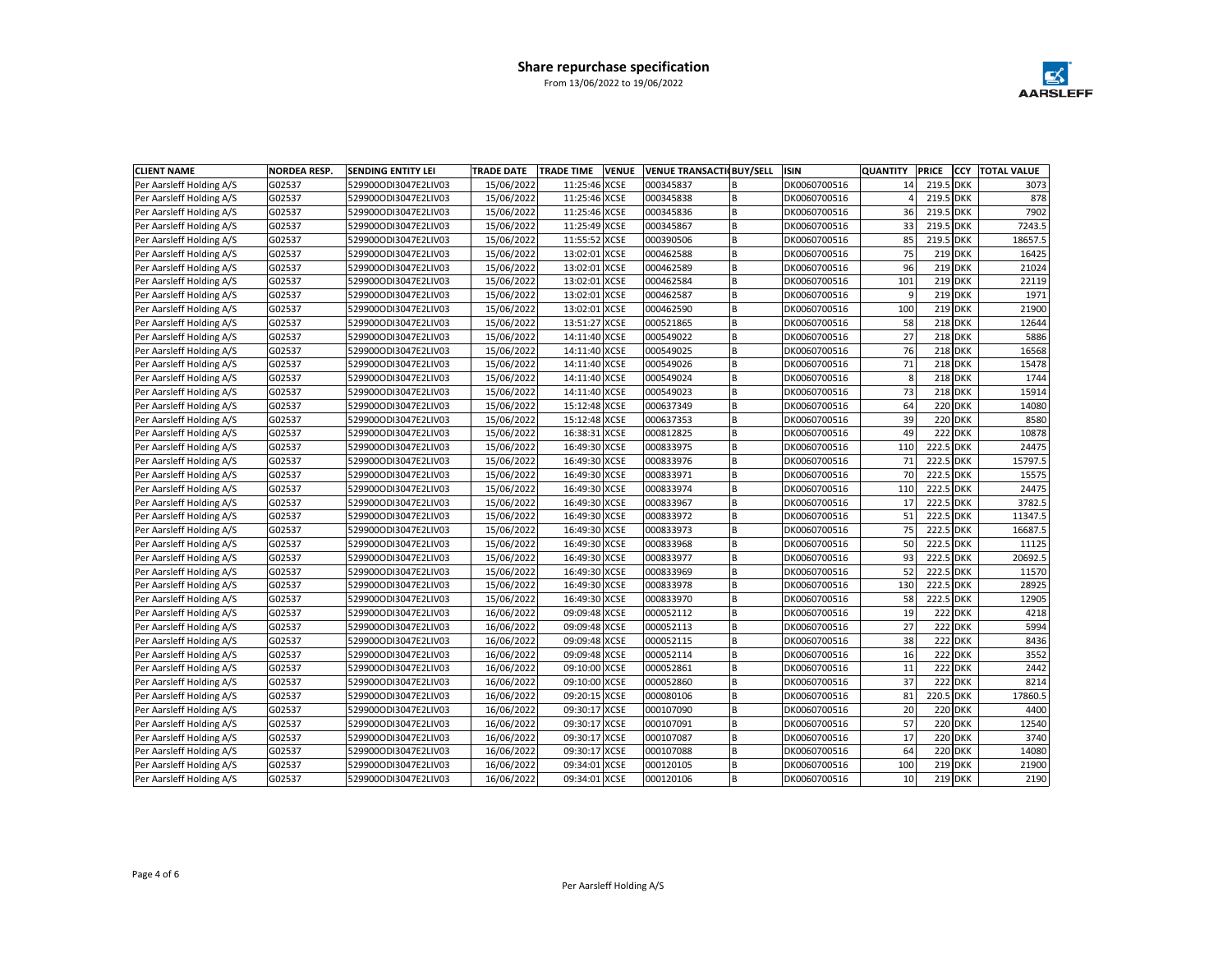

| <b>CLIENT NAME</b>       | <b>NORDEA RESP.</b> | <b>SENDING ENTITY LEI</b> | <b>TRADE DATE</b> | <b>TRADE TIME</b> | <b>VENUE</b> | <b>VENUE TRANSACTIOBUY/SELL</b> |    | <b>ISIN</b>  | <b>QUANTITY</b> | <b>PRICE</b> | <b>CCY</b>     | <b>TOTAL VALUE</b> |
|--------------------------|---------------------|---------------------------|-------------------|-------------------|--------------|---------------------------------|----|--------------|-----------------|--------------|----------------|--------------------|
| Per Aarsleff Holding A/S | G02537              | 529900ODI3047E2LIV03      | 15/06/2022        | 11:25:46 XCSE     |              | 000345837                       | B  | DK0060700516 | 14              | 219.5 DKK    |                | 3073               |
| Per Aarsleff Holding A/S | G02537              | 529900ODI3047E2LIV03      | 15/06/2022        | 11:25:46 XCSE     |              | 000345838                       | B  | DK0060700516 |                 | 219.5 DKK    |                | 878                |
| Per Aarsleff Holding A/S | G02537              | 529900ODI3047E2LIV03      | 15/06/2022        | 11:25:46 XCSE     |              | 000345836                       | B  | DK0060700516 | 36              | 219.5 DKK    |                | 7902               |
| Per Aarsleff Holding A/S | G02537              | 529900ODI3047E2LIV03      | 15/06/2022        | 11:25:49 XCSE     |              | 000345867                       | R  | DK0060700516 | 33              | 219.5 DKK    |                | 7243.5             |
| Per Aarsleff Holding A/S | G02537              | 529900ODI3047E2LIV03      | 15/06/2022        | 11:55:52 XCSE     |              | 000390506                       | B  | DK0060700516 | 85              | 219.5 DKK    |                | 18657.5            |
| Per Aarsleff Holding A/S | G02537              | 529900ODI3047E2LIV03      | 15/06/2022        | 13:02:01 XCSE     |              | 000462588                       | B  | DK0060700516 | 75              |              | <b>219 DKK</b> | 16425              |
| Per Aarsleff Holding A/S | G02537              | 529900ODI3047E2LIV03      | 15/06/2022        | 13:02:01 XCSE     |              | 000462589                       | B  | DK0060700516 | 96              |              | 219 DKK        | 21024              |
| Per Aarsleff Holding A/S | G02537              | 529900ODI3047E2LIV03      | 15/06/2022        | 13:02:01 XCSE     |              | 000462584                       | B  | DK0060700516 | 101             |              | <b>219 DKK</b> | 22119              |
| Per Aarsleff Holding A/S | G02537              | 529900ODI3047E2LIV03      | 15/06/2022        | 13:02:01 XCSE     |              | 000462587                       | B  | DK0060700516 | 9               |              | <b>219 DKK</b> | 1971               |
| Per Aarsleff Holding A/S | G02537              | 529900ODI3047E2LIV03      | 15/06/2022        | 13:02:01 XCSE     |              | 000462590                       | R  | DK0060700516 | 100             |              | <b>219 DKK</b> | 21900              |
| Per Aarsleff Holding A/S | G02537              | 529900ODI3047E2LIV03      | 15/06/2022        | 13:51:27 XCSE     |              | 000521865                       | B  | DK0060700516 | 58              |              | <b>218 DKK</b> | 12644              |
| Per Aarsleff Holding A/S | G02537              | 529900ODI3047E2LIV03      | 15/06/2022        | 14:11:40 XCSE     |              | 000549022                       | B  | DK0060700516 | 27              |              | <b>218 DKK</b> | 5886               |
| Per Aarsleff Holding A/S | G02537              | 529900ODI3047E2LIV03      | 15/06/2022        | 14:11:40 XCSE     |              | 000549025                       | B  | DK0060700516 | 76              |              | 218 DKK        | 16568              |
| Per Aarsleff Holding A/S | G02537              | 529900ODI3047E2LIV03      | 15/06/2022        | 14:11:40 XCSE     |              | 000549026                       | B  | DK0060700516 | 71              |              | <b>218 DKK</b> | 15478              |
| Per Aarsleff Holding A/S | G02537              | 529900ODI3047E2LIV03      | 15/06/2022        | 14:11:40 XCSE     |              | 000549024                       | B  | DK0060700516 | 8               |              | <b>218 DKK</b> | 1744               |
| Per Aarsleff Holding A/S | G02537              | 529900ODI3047E2LIV03      | 15/06/2022        | 14:11:40 XCSE     |              | 000549023                       | B  | DK0060700516 | 73              |              | <b>218 DKK</b> | 15914              |
| Per Aarsleff Holding A/S | G02537              | 529900ODI3047E2LIV03      | 15/06/2022        | 15:12:48 XCSE     |              | 000637349                       | B  | DK0060700516 | 64              |              | <b>220 DKK</b> | 14080              |
| Per Aarsleff Holding A/S | G02537              | 529900ODI3047E2LIV03      | 15/06/2022        | 15:12:48 XCSE     |              | 000637353                       | В  | DK0060700516 | 39              |              | <b>220 DKK</b> | 8580               |
| Per Aarsleff Holding A/S | G02537              | 529900ODI3047E2LIV03      | 15/06/2022        | 16:38:31 XCSE     |              | 000812825                       | B  | DK0060700516 | 49              |              | <b>222 DKK</b> | 10878              |
| Per Aarsleff Holding A/S | G02537              | 529900ODI3047E2LIV03      | 15/06/2022        | 16:49:30 XCSE     |              | 000833975                       | B  | DK0060700516 | 110             | 222.5        | <b>DKK</b>     | 24475              |
| Per Aarsleff Holding A/S | G02537              | 529900ODI3047E2LIV03      | 15/06/2022        | 16:49:30 XCSE     |              | 000833976                       | B  | DK0060700516 | 71              | 222.5 DKK    |                | 15797.5            |
| Per Aarsleff Holding A/S | G02537              | 529900ODI3047E2LIV03      | 15/06/2022        | 16:49:30 XCSE     |              | 000833971                       | B  | DK0060700516 | 70              | 222.5        | <b>DKK</b>     | 15575              |
| Per Aarsleff Holding A/S | G02537              | 529900ODI3047E2LIV03      | 15/06/2022        | 16:49:30 XCSE     |              | 000833974                       | B  | DK0060700516 | 110             | 222.5        | <b>DKK</b>     | 24475              |
| Per Aarsleff Holding A/S | G02537              | 529900ODI3047E2LIV03      | 15/06/2022        | 16:49:30 XCSE     |              | 000833967                       | B  | DK0060700516 | 17              | 222.5 DKK    |                | 3782.5             |
| Per Aarsleff Holding A/S | G02537              | 529900ODI3047E2LIV03      | 15/06/2022        | 16:49:30 XCSE     |              | 000833972                       | B  | DK0060700516 | 51              | 222.5        | <b>DKK</b>     | 11347.5            |
| Per Aarsleff Holding A/S | G02537              | 529900ODI3047E2LIV03      | 15/06/2022        | 16:49:30 XCSE     |              | 000833973                       | B  | DK0060700516 | 75              | 222.5        | <b>DKK</b>     | 16687.5            |
| Per Aarsleff Holding A/S | G02537              | 529900ODI3047E2LIV03      | 15/06/2022        | 16:49:30 XCSE     |              | 000833968                       | B  | DK0060700516 | 50              | 222.5        | DKK            | 11125              |
| Per Aarsleff Holding A/S | G02537              | 529900ODI3047E2LIV03      | 15/06/2022        | 16:49:30 XCSE     |              | 000833977                       | B  | DK0060700516 | 93              | 222.5 DKK    |                | 20692.5            |
| Per Aarsleff Holding A/S | G02537              | 529900ODI3047E2LIV03      | 15/06/2022        | 16:49:30 XCSE     |              | 000833969                       | B  | DK0060700516 | 52              | 222.5 DKK    |                | 11570              |
| Per Aarsleff Holding A/S | G02537              | 529900ODI3047E2LIV03      | 15/06/2022        | 16:49:30 XCSE     |              | 000833978                       | B  | DK0060700516 | 130             | 222.5 DKK    |                | 28925              |
| Per Aarsleff Holding A/S | G02537              | 529900ODI3047E2LIV03      | 15/06/2022        | 16:49:30 XCSE     |              | 000833970                       | B  | DK0060700516 | 58              | 222.5 DKK    |                | 12905              |
| Per Aarsleff Holding A/S | G02537              | 529900ODI3047E2LIV03      | 16/06/2022        | 09:09:48 XCSE     |              | 000052112                       | B  | DK0060700516 | 19              |              | <b>222 DKK</b> | 4218               |
| Per Aarsleff Holding A/S | G02537              | 529900ODI3047E2LIV03      | 16/06/2022        | 09:09:48 XCSE     |              | 000052113                       | B  | DK0060700516 | 27              |              | <b>222 DKK</b> | 5994               |
| Per Aarsleff Holding A/S | G02537              | 529900ODI3047E2LIV03      | 16/06/2022        | 09:09:48 XCSE     |              | 000052115                       | B  | DK0060700516 | 38              |              | <b>222 DKK</b> | 8436               |
| Per Aarsleff Holding A/S | G02537              | 529900ODI3047E2LIV03      | 16/06/2022        | 09:09:48 XCSE     |              | 000052114                       | B  | DK0060700516 | 16              |              | <b>222 DKK</b> | 3552               |
| Per Aarsleff Holding A/S | G02537              | 529900ODI3047E2LIV03      | 16/06/2022        | 09:10:00 XCSE     |              | 000052861                       | B  | DK0060700516 | 11              |              | <b>222 DKK</b> | 2442               |
| Per Aarsleff Holding A/S | G02537              | 529900ODI3047E2LIV03      | 16/06/2022        | 09:10:00 XCSE     |              | 000052860                       | B  | DK0060700516 | 37              | 222          | <b>DKK</b>     | 8214               |
| Per Aarsleff Holding A/S | G02537              | 529900ODI3047E2LIV03      | 16/06/2022        | 09:20:15 XCSE     |              | 000080106                       | B  | DK0060700516 | 81              | 220.5 DKK    |                | 17860.5            |
| Per Aarsleff Holding A/S | G02537              | 529900ODI3047E2LIV03      | 16/06/2022        | 09:30:17 XCSE     |              | 000107090                       | R  | DK0060700516 | 20              |              | 220 DKK        | 4400               |
| Per Aarsleff Holding A/S | G02537              | 529900ODI3047E2LIV03      | 16/06/2022        | 09:30:17 XCSE     |              | 000107091                       | B  | DK0060700516 | 57              |              | <b>220 DKK</b> | 12540              |
| Per Aarsleff Holding A/S | G02537              | 529900ODI3047E2LIV03      | 16/06/2022        | 09:30:17 XCSE     |              | 000107087                       | B  | DK0060700516 | 17              |              | <b>220 DKK</b> | 3740               |
| Per Aarsleff Holding A/S | G02537              | 529900ODI3047E2LIV03      | 16/06/2022        | 09:30:17 XCSE     |              | 000107088                       | B  | DK0060700516 | 64              |              | 220 DKK        | 14080              |
| Per Aarsleff Holding A/S | G02537              | 529900ODI3047E2LIV03      | 16/06/2022        | 09:34:01 XCSE     |              | 000120105                       | B  | DK0060700516 | 100             |              | <b>219 DKK</b> | 21900              |
| Per Aarsleff Holding A/S | G02537              | 529900ODI3047E2LIV03      | 16/06/2022        | 09:34:01 XCSE     |              | 000120106                       | lв | DK0060700516 | 10              |              | <b>219 DKK</b> | 2190               |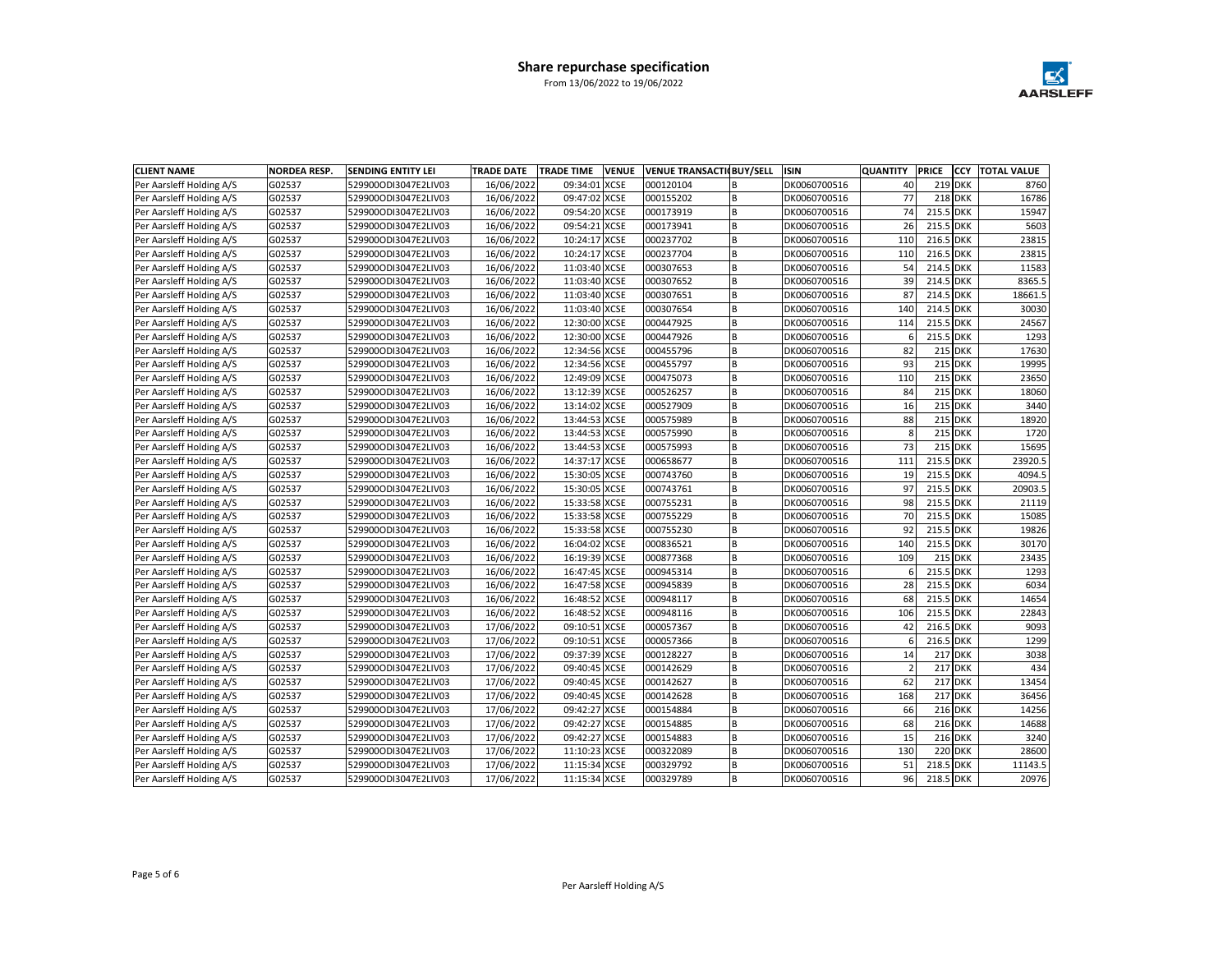

| <b>CLIENT NAME</b>       | <b>NORDEA RESP.</b> | <b>SENDING ENTITY LEI</b> | <b>TRADE DATE</b> | <b>TRADE TIME</b> | <b>VENUE</b> | <b>VENUE TRANSACTIOBUY/SELL</b> |    | <b>ISIN</b>  | <b>QUANTITY</b> | <b>PRICE</b> | <b>CCY</b>     | <b>TOTAL VALUE</b> |
|--------------------------|---------------------|---------------------------|-------------------|-------------------|--------------|---------------------------------|----|--------------|-----------------|--------------|----------------|--------------------|
| Per Aarsleff Holding A/S | G02537              | 529900ODI3047E2LIV03      | 16/06/2022        | 09:34:01 XCSE     |              | 000120104                       | B  | DK0060700516 | 40              |              | <b>219 DKK</b> | 8760               |
| Per Aarsleff Holding A/S | G02537              | 529900ODI3047E2LIV03      | 16/06/2022        | 09:47:02 XCSE     |              | 000155202                       | B  | DK0060700516 | 77              |              | <b>218 DKK</b> | 16786              |
| Per Aarsleff Holding A/S | G02537              | 529900ODI3047E2LIV03      | 16/06/2022        | 09:54:20 XCSE     |              | 000173919                       | B  | DK0060700516 | 74              | 215.5 DKK    |                | 15947              |
| Per Aarsleff Holding A/S | G02537              | 529900ODI3047E2LIV03      | 16/06/2022        | 09:54:21 XCSE     |              | 000173941                       | R  | DK0060700516 | 26              | 215.5 DKK    |                | 5603               |
| Per Aarsleff Holding A/S | G02537              | 529900ODI3047E2LIV03      | 16/06/2022        | 10:24:17 XCSE     |              | 000237702                       | B  | DK0060700516 | 110             | 216.5 DKK    |                | 23815              |
| Per Aarsleff Holding A/S | G02537              | 529900ODI3047E2LIV03      | 16/06/2022        | 10:24:17 XCSE     |              | 000237704                       | B  | DK0060700516 | 110             | 216.5 DKK    |                | 23815              |
| Per Aarsleff Holding A/S | G02537              | 529900ODI3047E2LIV03      | 16/06/2022        | 11:03:40 XCSE     |              | 000307653                       | B  | DK0060700516 | 54              | 214.5 DKK    |                | 11583              |
| Per Aarsleff Holding A/S | G02537              | 529900ODI3047E2LIV03      | 16/06/2022        | 11:03:40 XCSE     |              | 000307652                       | B  | DK0060700516 | 39              | 214.5 DKK    |                | 8365.5             |
| Per Aarsleff Holding A/S | G02537              | 529900ODI3047E2LIV03      | 16/06/2022        | 11:03:40 XCSE     |              | 000307651                       | B  | DK0060700516 | 87              | 214.5 DKK    |                | 18661.5            |
| Per Aarsleff Holding A/S | G02537              | 529900ODI3047E2LIV03      | 16/06/2022        | 11:03:40 XCSE     |              | 000307654                       | R  | DK0060700516 | 140             | 214.5 DKK    |                | 30030              |
| Per Aarsleff Holding A/S | G02537              | 529900ODI3047E2LIV03      | 16/06/2022        | 12:30:00 XCSE     |              | 000447925                       | B  | DK0060700516 | 114             | 215.5 DKK    |                | 24567              |
| Per Aarsleff Holding A/S | G02537              | 529900ODI3047E2LIV03      | 16/06/2022        | 12:30:00 XCSE     |              | 000447926                       | B  | DK0060700516 | 6               | 215.5 DKK    |                | 1293               |
| Per Aarsleff Holding A/S | G02537              | 529900ODI3047E2LIV03      | 16/06/2022        | 12:34:56 XCSE     |              | 000455796                       | B  | DK0060700516 | 82              |              | 215 DKK        | 17630              |
| Per Aarsleff Holding A/S | G02537              | 529900ODI3047E2LIV03      | 16/06/2022        | 12:34:56 XCSE     |              | 000455797                       | B  | DK0060700516 | 93              |              | <b>215 DKK</b> | 19995              |
| Per Aarsleff Holding A/S | G02537              | 529900ODI3047E2LIV03      | 16/06/2022        | 12:49:09 XCSE     |              | 000475073                       | B  | DK0060700516 | 110             |              | <b>215 DKK</b> | 23650              |
| Per Aarsleff Holding A/S | G02537              | 529900ODI3047E2LIV03      | 16/06/2022        | 13:12:39 XCSE     |              | 000526257                       | B  | DK0060700516 | 84              |              | <b>215 DKK</b> | 18060              |
| Per Aarsleff Holding A/S | G02537              | 529900ODI3047E2LIV03      | 16/06/2022        | 13:14:02 XCSE     |              | 000527909                       | B  | DK0060700516 | 16              |              | <b>215 DKK</b> | 3440               |
| Per Aarsleff Holding A/S | G02537              | 529900ODI3047E2LIV03      | 16/06/2022        | 13:44:53 XCSE     |              | 000575989                       | B  | DK0060700516 | 88              |              | <b>215 DKK</b> | 18920              |
| Per Aarsleff Holding A/S | G02537              | 529900ODI3047E2LIV03      | 16/06/2022        | 13:44:53 XCSE     |              | 000575990                       | B  | DK0060700516 | 8               |              | <b>215 DKK</b> | 1720               |
| Per Aarsleff Holding A/S | G02537              | 529900ODI3047E2LIV03      | 16/06/2022        | 13:44:53 XCSE     |              | 000575993                       | B  | DK0060700516 | 73              |              | <b>215 DKK</b> | 15695              |
| Per Aarsleff Holding A/S | G02537              | 529900ODI3047E2LIV03      | 16/06/2022        | 14:37:17 XCSE     |              | 000658677                       | B  | DK0060700516 | 111             | 215.5 DKK    |                | 23920.5            |
| Per Aarsleff Holding A/S | G02537              | 529900ODI3047E2LIV03      | 16/06/2022        | 15:30:05 XCSE     |              | 000743760                       | B  | DK0060700516 | 19              | 215.5        | <b>DKK</b>     | 4094.5             |
| Per Aarsleff Holding A/S | G02537              | 529900ODI3047E2LIV03      | 16/06/2022        | 15:30:05 XCSE     |              | 000743761                       | B  | DK0060700516 | 97              | 215.5 DKK    |                | 20903.5            |
| Per Aarsleff Holding A/S | G02537              | 529900ODI3047E2LIV03      | 16/06/2022        | 15:33:58 XCSE     |              | 000755231                       | B  | DK0060700516 | 98              | 215.5 DKK    |                | 21119              |
| Per Aarsleff Holding A/S | G02537              | 529900ODI3047E2LIV03      | 16/06/2022        | 15:33:58 XCSE     |              | 000755229                       | B  | DK0060700516 | 70              | 215.5 DKK    |                | 15085              |
| Per Aarsleff Holding A/S | G02537              | 529900ODI3047E2LIV03      | 16/06/2022        | 15:33:58 XCSE     |              | 000755230                       | B  | DK0060700516 | 92              | 215.5 DKK    |                | 19826              |
| Per Aarsleff Holding A/S | G02537              | 529900ODI3047E2LIV03      | 16/06/2022        | 16:04:02 XCSE     |              | 000836521                       | B  | DK0060700516 | 140             | 215.5 DKK    |                | 30170              |
| Per Aarsleff Holding A/S | G02537              | 529900ODI3047E2LIV03      | 16/06/2022        | 16:19:39 XCSE     |              | 000877368                       | B  | DK0060700516 | 109             |              | 215 DKK        | 23435              |
| Per Aarsleff Holding A/S | G02537              | 529900ODI3047E2LIV03      | 16/06/2022        | 16:47:45 XCSE     |              | 000945314                       | B  | DK0060700516 | 6               | 215.5 DKK    |                | 1293               |
| Per Aarsleff Holding A/S | G02537              | 529900ODI3047E2LIV03      | 16/06/2022        | 16:47:58 XCSE     |              | 000945839                       | B  | DK0060700516 | 28              | 215.5 DKK    |                | 6034               |
| Per Aarsleff Holding A/S | G02537              | 529900ODI3047E2LIV03      | 16/06/2022        | 16:48:52 XCSE     |              | 000948117                       | B  | DK0060700516 | 68              | 215.5 DKK    |                | 14654              |
| Per Aarsleff Holding A/S | G02537              | 529900ODI3047E2LIV03      | 16/06/2022        | 16:48:52 XCSE     |              | 000948116                       | B  | DK0060700516 | 106             | 215.5 DKK    |                | 22843              |
| Per Aarsleff Holding A/S | G02537              | 529900ODI3047E2LIV03      | 17/06/2022        | 09:10:51 XCSE     |              | 000057367                       | B  | DK0060700516 | 42              | 216.5 DKK    |                | 9093               |
| Per Aarsleff Holding A/S | G02537              | 529900ODI3047E2LIV03      | 17/06/2022        | 09:10:51 XCSE     |              | 000057366                       | B  | DK0060700516 | 6               | 216.5 DKK    |                | 1299               |
| Per Aarsleff Holding A/S | G02537              | 529900ODI3047E2LIV03      | 17/06/2022        | 09:37:39 XCSE     |              | 000128227                       | B  | DK0060700516 | 14              |              | 217 DKK        | 3038               |
| Per Aarsleff Holding A/S | G02537              | 529900ODI3047E2LIV03      | 17/06/2022        | 09:40:45 XCSE     |              | 000142629                       | B  | DK0060700516 | $\overline{2}$  |              | <b>217 DKK</b> | 434                |
| Per Aarsleff Holding A/S | G02537              | 529900ODI3047E2LIV03      | 17/06/2022        | 09:40:45 XCSE     |              | 000142627                       | B  | DK0060700516 | 62              |              | <b>217 DKK</b> | 13454              |
| Per Aarsleff Holding A/S | G02537              | 529900ODI3047E2LIV03      | 17/06/2022        | 09:40:45 XCSE     |              | 000142628                       | B  | DK0060700516 | 168             |              | <b>217 DKK</b> | 36456              |
| Per Aarsleff Holding A/S | G02537              | 529900ODI3047E2LIV03      | 17/06/2022        | 09:42:27 XCSE     |              | 000154884                       | R  | DK0060700516 | 66              |              | 216 DKK        | 14256              |
| Per Aarsleff Holding A/S | G02537              | 529900ODI3047E2LIV03      | 17/06/2022        | 09:42:27 XCSE     |              | 000154885                       | B  | DK0060700516 | 68              |              | <b>216 DKK</b> | 14688              |
| Per Aarsleff Holding A/S | G02537              | 529900ODI3047E2LIV03      | 17/06/2022        | 09:42:27 XCSE     |              | 000154883                       | B  | DK0060700516 | 15              |              | <b>216 DKK</b> | 3240               |
| Per Aarsleff Holding A/S | G02537              | 529900ODI3047E2LIV03      | 17/06/2022        | 11:10:23 XCSE     |              | 000322089                       | B  | DK0060700516 | 130             |              | 220 DKK        | 28600              |
| Per Aarsleff Holding A/S | G02537              | 529900ODI3047E2LIV03      | 17/06/2022        | 11:15:34 XCSE     |              | 000329792                       | B  | DK0060700516 | 51              | 218.5 DKK    |                | 11143.5            |
| Per Aarsleff Holding A/S | G02537              | 529900ODI3047E2LIV03      | 17/06/2022        | 11:15:34 XCSE     |              | 000329789                       | lв | DK0060700516 | 96              | 218.5 DKK    |                | 20976              |